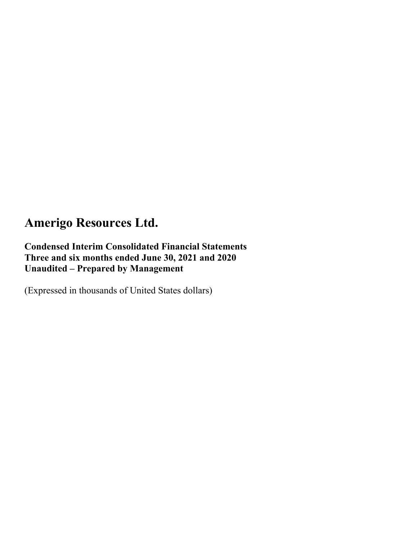**Condensed Interim Consolidated Financial Statements Three and six months ended June 30, 2021 and 2020 Unaudited – Prepared by Management** 

(Expressed in thousands of United States dollars)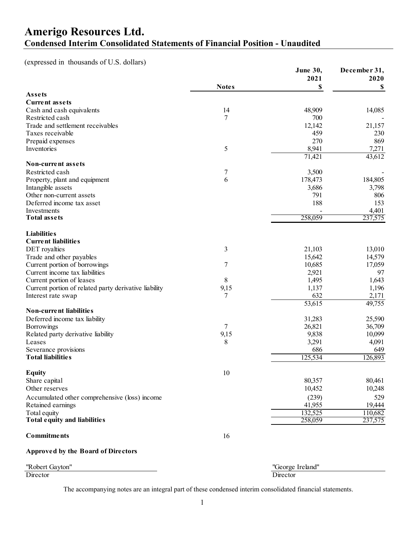### **Amerigo Resources Ltd. Condensed Interim Consolidated Statements of Financial Position - Unaudited**

(expressed in thousands of U.S. dollars)

|                                                       |              | June 30,         | December 31, |
|-------------------------------------------------------|--------------|------------------|--------------|
|                                                       |              | 2021             | 2020         |
|                                                       | <b>Notes</b> | \$               | S            |
| Assets                                                |              |                  |              |
| <b>Current assets</b>                                 |              |                  |              |
| Cash and cash equivalents                             | 14           | 48,909           | 14,085       |
| Restricted cash                                       | 7            | 700              |              |
| Trade and settlement receivables                      |              | 12,142           | 21,157       |
| Taxes receivable                                      |              | 459              | 230          |
| Prepaid expenses                                      |              | 270              | 869          |
| Inventories                                           | 5            | 8,941            | 7,271        |
| <b>Non-current assets</b>                             |              | 71,421           | 43,612       |
| Restricted cash                                       |              |                  |              |
|                                                       | 7<br>6       | 3,500<br>178,473 | 184,805      |
| Property, plant and equipment                         |              | 3,686            | 3,798        |
| Intangible assets<br>Other non-current assets         |              | 791              | 806          |
| Deferred income tax asset                             |              | 188              | 153          |
| Investments                                           |              |                  | 4,401        |
| <b>Total assets</b>                                   |              | 258,059          | 237,575      |
|                                                       |              |                  |              |
| <b>Liabilities</b>                                    |              |                  |              |
| <b>Current liabilities</b>                            |              |                  |              |
| DET royalties                                         | 3            | 21,103           | 13,010       |
| Trade and other payables                              |              | 15,642           | 14,579       |
| Current portion of borrowings                         | 7            | 10,685           | 17,059       |
| Current income tax liabilities                        |              | 2,921            | 97           |
| Current portion of leases                             | 8            | 1,495            | 1,643        |
| Current portion of related party derivative liability | 9,15         | 1,137            | 1,196        |
| Interest rate swap                                    | 7            | 632              | 2,171        |
|                                                       |              | 53,615           | 49,755       |
| <b>Non-current liabilities</b>                        |              |                  |              |
| Deferred income tax liability                         |              | 31,283           | 25,590       |
| Borrowings                                            | 7            | 26,821           | 36,709       |
| Related party derivative liability                    | 9,15         | 9,838            | 10,099       |
| Leases                                                | 8            | 3,291            | 4,091        |
| Severance provisions                                  |              | 686              | 649          |
| <b>Total liabilities</b>                              |              | 125,534          | 126,893      |
|                                                       |              |                  |              |
| <b>Equity</b>                                         | 10           |                  |              |
| Share capital                                         |              | 80,357           | 80,461       |
| Other reserves                                        |              | 10,452           | 10,248       |
| Accumulated other comprehensive (loss) income         |              | (239)            | 529          |
| Retained earnings                                     |              | 41,955           | 19,444       |
| Total equity                                          |              | 132,525          | 110,682      |
| Total equity and liabilities                          |              | 258,059          | 237,575      |
| <b>Commitments</b>                                    | 16           |                  |              |
|                                                       |              |                  |              |

#### **Approved by the Board of Directors**

| ''Robert<br>Gavton' | $\sqrt{2}$<br>-101<br>Ireland'<br>$reorec$ . |
|---------------------|----------------------------------------------|
| Director            | Jirector                                     |
|                     |                                              |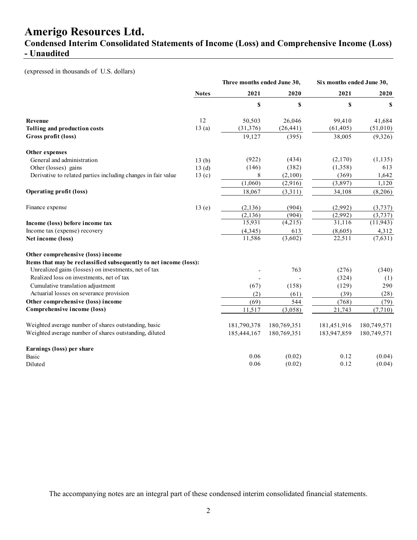**Condensed Interim Consolidated Statements of Income (Loss) and Comprehensive Income (Loss) - Unaudited** 

(expressed in thousands of U.S. dollars)

|                                                                   |                   | Three months ended June 30, |             | Six months ended June 30, |             |
|-------------------------------------------------------------------|-------------------|-----------------------------|-------------|---------------------------|-------------|
|                                                                   | <b>Notes</b>      | 2021                        | 2020        | 2021                      | 2020        |
|                                                                   |                   | $\boldsymbol{\mathsf{s}}$   | \$          | \$                        | \$          |
| Revenue                                                           | 12                | 50,503                      | 26,046      | 99,410                    | 41,684      |
| Tolling and production costs                                      | 13(a)             | (31, 376)                   | (26, 441)   | (61, 405)                 | (51,010)    |
| Gross profit (loss)                                               |                   | 19,127                      | (395)       | 38,005                    | (9,326)     |
| Other expenses                                                    |                   |                             |             |                           |             |
| General and administration                                        | 13(b)             | (922)                       | (434)       | (2,170)                   | (1, 135)    |
| Other (losses) gains                                              | 13(d)             | (146)                       | (382)       | (1,358)                   | 613         |
| Derivative to related parties including changes in fair value     | 13 <sub>(c)</sub> | 8                           | (2,100)     | (369)                     | 1,642       |
|                                                                   |                   | (1,060)                     | (2,916)     | (3,897)                   | 1,120       |
| <b>Operating profit (loss)</b>                                    |                   | 18,067                      | (3,311)     | 34,108                    | (8,206)     |
| Finance expense                                                   | 13(e)             | (2, 136)                    | (904)       | (2,992)                   | (3,737)     |
|                                                                   |                   | (2, 136)                    | (904)       | (2,992)                   | (3,737)     |
| Income (loss) before income tax                                   |                   | 15,931                      | (4,215)     | 31,116                    | (11, 943)   |
| Income tax (expense) recovery                                     |                   | (4, 345)                    | 613         | (8,605)                   | 4,312       |
| Net income (loss)                                                 |                   | 11,586                      | (3,602)     | 22,511                    | (7,631)     |
| Other comprehensive (loss) income                                 |                   |                             |             |                           |             |
| Items that may be reclassified subsequently to net income (loss): |                   |                             |             |                           |             |
| Unrealized gains (losses) on investments, net of tax              |                   |                             | 763         | (276)                     | (340)       |
| Realized loss on investments, net of tax                          |                   |                             |             | (324)                     | (1)         |
| Cumulative translation adjustment                                 |                   | (67)                        | (158)       | (129)                     | 290         |
| Actuarial losses on severance provision                           |                   | (2)                         | (61)        | (39)                      | (28)        |
| Other comprehensive (loss) income                                 |                   | (69)                        | 544         | (768)                     | (79)        |
| Comprehensive income (loss)                                       |                   | 11,517                      | (3,058)     | 21,743                    | (7,710)     |
| Weighted average number of shares outstanding, basic              |                   | 181,790,378                 | 180,769,351 | 181,451,916               | 180,749,571 |
| Weighted average number of shares outstanding, diluted            |                   | 185,444,167                 | 180,769,351 | 183,947,859               | 180,749,571 |
| Earnings (loss) per share                                         |                   |                             |             |                           |             |
| Basic                                                             |                   | 0.06                        | (0.02)      | 0.12                      | (0.04)      |
| Diluted                                                           |                   | 0.06                        | (0.02)      | 0.12                      | (0.04)      |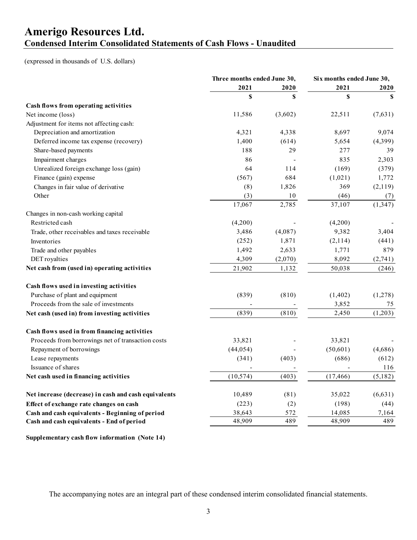### **Amerigo Resources Ltd. Condensed Interim Consolidated Statements of Cash Flows - Unaudited**

(expressed in thousands of U.S. dollars)

|                                                      | Three months ended June 30, |                           | Six months ended June 30, |          |
|------------------------------------------------------|-----------------------------|---------------------------|---------------------------|----------|
|                                                      | 2021                        | 2020                      |                           | 2020     |
|                                                      | \$                          | $\boldsymbol{\mathsf{S}}$ | \$                        | \$       |
| Cash flows from operating activities                 |                             |                           |                           |          |
| Net income (loss)                                    | 11,586                      | (3,602)                   | 22,511                    | (7,631)  |
| Adjustment for items not affecting cash:             |                             |                           |                           |          |
| Depreciation and amortization                        | 4,321                       | 4,338                     | 8,697                     | 9,074    |
| Deferred income tax expense (recovery)               | 1,400                       | (614)                     | 5,654                     | (4,399)  |
| Share-based payments                                 | 188                         | 29                        | 277                       | 39       |
| Impairment charges                                   | 86                          |                           | 835                       | 2,303    |
| Unrealized foreign exchange loss (gain)              | 64                          | 114                       | (169)                     | (379)    |
| Finance (gain) expense                               | (567)                       | 684                       | (1,021)                   | 1,772    |
| Changes in fair value of derivative                  | (8)                         | 1,826                     | 369                       | (2,119)  |
| Other                                                | (3)                         | 10                        | (46)                      | (7)      |
|                                                      | 17,067                      | 2,785                     | 37,107                    | (1, 347) |
| Changes in non-cash working capital                  |                             |                           |                           |          |
| Restricted cash                                      | (4,200)                     |                           | (4,200)                   |          |
| Trade, other receivables and taxes receivable        | 3,486                       | (4,087)                   | 9,382                     | 3,404    |
| Inventories                                          | (252)                       | 1,871                     | (2,114)                   | (441)    |
| Trade and other payables                             | 1,492                       | 2,633                     | 1,771                     | 879      |
| DET royalties                                        | 4,309                       | (2,070)                   | 8,092                     | (2,741)  |
| Net cash from (used in) operating activities         | 21,902                      | 1,132                     | 50,038                    | (246)    |
| Cash flows used in investing activities              |                             |                           |                           |          |
| Purchase of plant and equipment                      | (839)                       | (810)                     | (1, 402)                  | (1,278)  |
| Proceeds from the sale of investments                |                             |                           | 3,852                     | 75       |
| Net cash (used in) from investing activities         | (839)                       | (810)                     | 2,450                     | (1,203)  |
| Cash flows used in from financing activities         |                             |                           |                           |          |
| Proceeds from borrowings net of transaction costs    | 33,821                      |                           | 33,821                    |          |
| Repayment of borrowings                              | (44, 054)                   |                           | (50,601)                  | (4,686)  |
| Lease repayments                                     | (341)                       | (403)                     | (686)                     | (612)    |
| Issuance of shares                                   |                             |                           |                           | 116      |
| Net cash used in financing activities                | (10, 574)                   | (403)                     | (17, 466)                 | (5,182)  |
| Net increase (decrease) in cash and cash equivalents | 10,489                      | (81)                      | 35,022                    | (6, 631) |
| Effect of exchange rate changes on cash              | (223)                       | (2)                       | (198)                     | (44)     |
| Cash and cash equivalents - Beginning of period      | 38,643                      | 572                       | 14,085                    | 7,164    |
| Cash and cash equivalents - End of period            | 48,909                      | 489                       | 48,909                    | 489      |

**Supplementary cash flow information (Note 14)**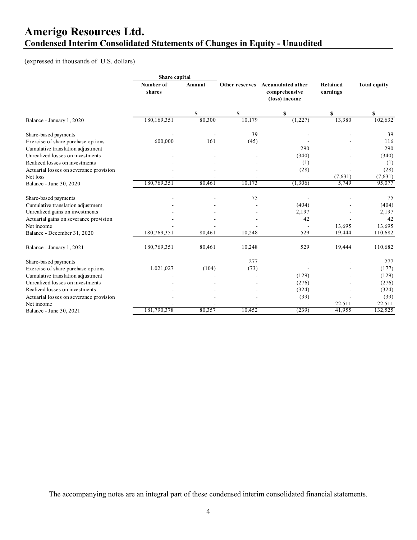### **Amerigo Resources Ltd. Condensed Interim Consolidated Statements of Changes in Equity - Unaudited**

(expressed in thousands of U.S. dollars)

|                                         | Share capital       |        |        |                                                                    |                      |                     |
|-----------------------------------------|---------------------|--------|--------|--------------------------------------------------------------------|----------------------|---------------------|
|                                         | Number of<br>shares | Amount |        | Other reserves Accumulated other<br>comprehensive<br>(loss) income | Retained<br>earnings | <b>Total equity</b> |
|                                         |                     | \$     | \$     | \$                                                                 | \$                   | \$                  |
| Balance - January 1, 2020               | 180,169,351         | 80,300 | 10,179 | (1,227)                                                            | 13,380               | 102,632             |
| Share-based payments                    |                     |        | 39     |                                                                    |                      | 39                  |
| Exercise of share purchase options      | 600,000             | 161    | (45)   |                                                                    |                      | 116                 |
| Cumulative translation adjustment       |                     |        |        | 290                                                                |                      | 290                 |
| Unrealized losses on investments        |                     |        |        | (340)                                                              |                      | (340)               |
| Realized losses on investments          |                     |        |        | (1)                                                                |                      | (1)                 |
| Actuarial losses on severance provision |                     |        |        | (28)                                                               |                      | (28)                |
| Net loss                                |                     |        |        |                                                                    | (7,631)              | (7,631)             |
| Balance - June 30, 2020                 | 180,769,351         | 80,461 | 10,173 | (1,306)                                                            | 5,749                | 95,077              |
| Share-based payments                    |                     |        | 75     |                                                                    |                      | 75                  |
| Cumulative translation adjustment       |                     |        |        | (404)                                                              |                      | (404)               |
| Unrealized gains on investments         |                     |        |        | 2,197                                                              |                      | 2,197               |
| Actuarial gains on severance provision  |                     |        |        | 42                                                                 |                      | 42                  |
| Net income                              |                     |        |        |                                                                    | 13,695               | 13,695              |
| Balance - December 31, 2020             | 180,769,351         | 80,461 | 10,248 | 529                                                                | 19,444               | 110,682             |
| Balance - January 1, 2021               | 180,769,351         | 80,461 | 10,248 | 529                                                                | 19,444               | 110,682             |
| Share-based payments                    |                     |        | 277    |                                                                    |                      | 277                 |
| Exercise of share purchase options      | 1,021,027           | (104)  | (73)   |                                                                    |                      | (177)               |
| Cumulative translation adjustment       |                     |        |        | (129)                                                              |                      | (129)               |
| Unrealized losses on investments        |                     |        |        | (276)                                                              |                      | (276)               |
| Realized losses on investments          |                     |        |        | (324)                                                              |                      | (324)               |
| Actuarial losses on severance provision |                     |        |        | (39)                                                               |                      | (39)                |
| Net income                              |                     |        |        |                                                                    | 22,511               | 22,511              |
| Balance - June 30, 2021                 | 181,790,378         | 80,357 | 10,452 | (239)                                                              | 41,955               | 132,525             |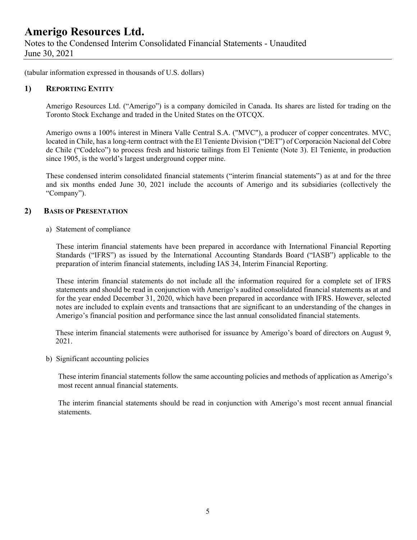Notes to the Condensed Interim Consolidated Financial Statements - Unaudited June 30, 2021

(tabular information expressed in thousands of U.S. dollars)

#### **1) REPORTING ENTITY**

Amerigo Resources Ltd. ("Amerigo") is a company domiciled in Canada. Its shares are listed for trading on the Toronto Stock Exchange and traded in the United States on the OTCQX.

Amerigo owns a 100% interest in Minera Valle Central S.A. ("MVC"), a producer of copper concentrates. MVC, located in Chile, has a long-term contract with the El Teniente Division ("DET") of Corporación Nacional del Cobre de Chile ("Codelco") to process fresh and historic tailings from El Teniente (Note 3). El Teniente, in production since 1905, is the world's largest underground copper mine.

These condensed interim consolidated financial statements ("interim financial statements") as at and for the three and six months ended June 30, 2021 include the accounts of Amerigo and its subsidiaries (collectively the "Company").

#### **2) BASIS OF PRESENTATION**

a) Statement of compliance

These interim financial statements have been prepared in accordance with International Financial Reporting Standards ("IFRS") as issued by the International Accounting Standards Board ("IASB") applicable to the preparation of interim financial statements, including IAS 34, Interim Financial Reporting.

These interim financial statements do not include all the information required for a complete set of IFRS statements and should be read in conjunction with Amerigo's audited consolidated financial statements as at and for the year ended December 31, 2020, which have been prepared in accordance with IFRS. However, selected notes are included to explain events and transactions that are significant to an understanding of the changes in Amerigo's financial position and performance since the last annual consolidated financial statements.

 These interim financial statements were authorised for issuance by Amerigo's board of directors on August 9, 2021.

b) Significant accounting policies

These interim financial statements follow the same accounting policies and methods of application as Amerigo's most recent annual financial statements.

The interim financial statements should be read in conjunction with Amerigo's most recent annual financial statements.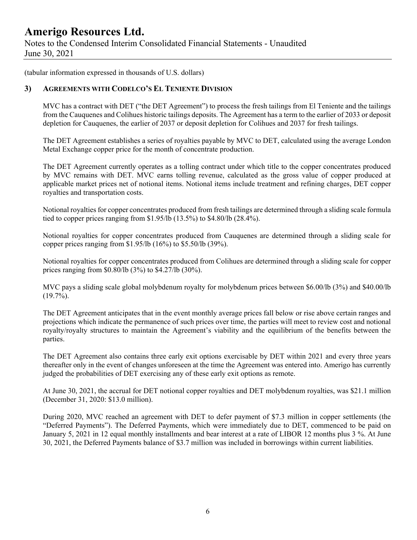Notes to the Condensed Interim Consolidated Financial Statements - Unaudited June 30, 2021

(tabular information expressed in thousands of U.S. dollars)

#### **3) AGREEMENTS WITH CODELCO'S EL TENIENTE DIVISION**

MVC has a contract with DET ("the DET Agreement") to process the fresh tailings from El Teniente and the tailings from the Cauquenes and Colihues historic tailings deposits. The Agreement has a term to the earlier of 2033 or deposit depletion for Cauquenes, the earlier of 2037 or deposit depletion for Colihues and 2037 for fresh tailings.

The DET Agreement establishes a series of royalties payable by MVC to DET, calculated using the average London Metal Exchange copper price for the month of concentrate production.

The DET Agreement currently operates as a tolling contract under which title to the copper concentrates produced by MVC remains with DET. MVC earns tolling revenue, calculated as the gross value of copper produced at applicable market prices net of notional items. Notional items include treatment and refining charges, DET copper royalties and transportation costs.

Notional royalties for copper concentrates produced from fresh tailings are determined through a sliding scale formula tied to copper prices ranging from \$1.95/lb (13.5%) to \$4.80/lb (28.4%).

Notional royalties for copper concentrates produced from Cauquenes are determined through a sliding scale for copper prices ranging from \$1.95/lb (16%) to \$5.50/lb (39%).

Notional royalties for copper concentrates produced from Colihues are determined through a sliding scale for copper prices ranging from \$0.80/lb (3%) to \$4.27/lb (30%).

MVC pays a sliding scale global molybdenum royalty for molybdenum prices between \$6.00/lb (3%) and \$40.00/lb  $(19.7\%)$ .

The DET Agreement anticipates that in the event monthly average prices fall below or rise above certain ranges and projections which indicate the permanence of such prices over time, the parties will meet to review cost and notional royalty/royalty structures to maintain the Agreement's viability and the equilibrium of the benefits between the parties.

The DET Agreement also contains three early exit options exercisable by DET within 2021 and every three years thereafter only in the event of changes unforeseen at the time the Agreement was entered into. Amerigo has currently judged the probabilities of DET exercising any of these early exit options as remote.

At June 30, 2021, the accrual for DET notional copper royalties and DET molybdenum royalties, was \$21.1 million (December 31, 2020: \$13.0 million).

During 2020, MVC reached an agreement with DET to defer payment of \$7.3 million in copper settlements (the "Deferred Payments"). The Deferred Payments, which were immediately due to DET, commenced to be paid on January 5, 2021 in 12 equal monthly installments and bear interest at a rate of LIBOR 12 months plus 3 %. At June 30, 2021, the Deferred Payments balance of \$3.7 million was included in borrowings within current liabilities.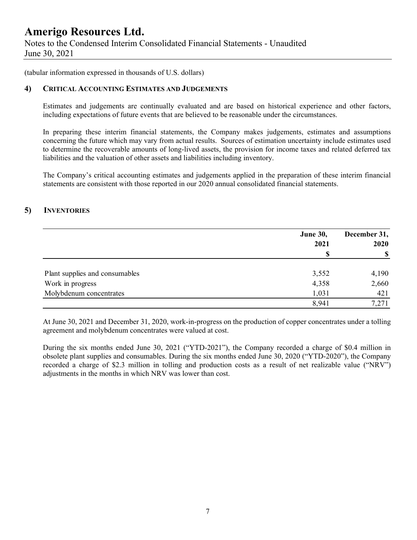Notes to the Condensed Interim Consolidated Financial Statements - Unaudited June 30, 2021

(tabular information expressed in thousands of U.S. dollars)

#### **4) CRITICAL ACCOUNTING ESTIMATES AND JUDGEMENTS**

Estimates and judgements are continually evaluated and are based on historical experience and other factors, including expectations of future events that are believed to be reasonable under the circumstances.

In preparing these interim financial statements, the Company makes judgements, estimates and assumptions concerning the future which may vary from actual results. Sources of estimation uncertainty include estimates used to determine the recoverable amounts of long-lived assets, the provision for income taxes and related deferred tax liabilities and the valuation of other assets and liabilities including inventory.

The Company's critical accounting estimates and judgements applied in the preparation of these interim financial statements are consistent with those reported in our 2020 annual consolidated financial statements.

### **5) INVENTORIES**

|                                | <b>June 30,</b> | December 31,  |  |
|--------------------------------|-----------------|---------------|--|
|                                | 2021            | 2020          |  |
|                                | S               | $\mathbf{\$}$ |  |
| Plant supplies and consumables | 3,552           | 4,190         |  |
| Work in progress               | 4,358           | 2,660         |  |
| Molybdenum concentrates        | 1,031           | 421           |  |
|                                | 8,941           | 7,271         |  |

At June 30, 2021 and December 31, 2020, work-in-progress on the production of copper concentrates under a tolling agreement and molybdenum concentrates were valued at cost.

During the six months ended June 30, 2021 ("YTD-2021"), the Company recorded a charge of \$0.4 million in obsolete plant supplies and consumables. During the six months ended June 30, 2020 ("YTD-2020"), the Company recorded a charge of \$2.3 million in tolling and production costs as a result of net realizable value ("NRV") adjustments in the months in which NRV was lower than cost.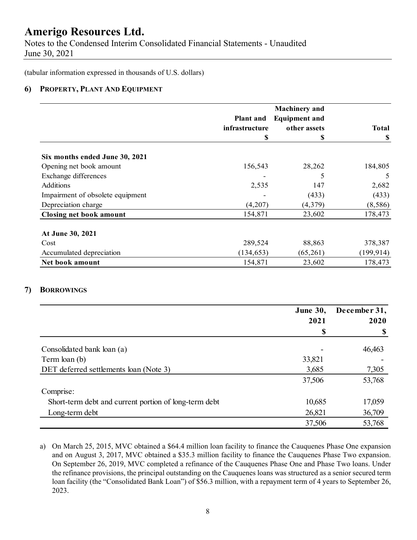Notes to the Condensed Interim Consolidated Financial Statements - Unaudited June 30, 2021

(tabular information expressed in thousands of U.S. dollars)

#### **6) PROPERTY, PLANT AND EQUIPMENT**

|                                  | <b>Plant and</b> | <b>Machinery</b> and<br><b>Equipment and</b> |              |
|----------------------------------|------------------|----------------------------------------------|--------------|
|                                  | infrastructure   | other assets                                 | <b>Total</b> |
|                                  | S                | S                                            | -S           |
| Six months ended June 30, 2021   |                  |                                              |              |
| Opening net book amount          | 156,543          | 28,262                                       | 184,805      |
| Exchange differences             |                  | 5                                            | 5            |
| <b>Additions</b>                 | 2,535            | 147                                          | 2,682        |
| Impairment of obsolete equipment |                  | (433)                                        | (433)        |
| Depreciation charge              | (4,207)          | (4,379)                                      | (8,586)      |
| <b>Closing net book amount</b>   | 154,871          | 23,602                                       | 178,473      |
| At June 30, 2021                 |                  |                                              |              |
| Cost                             | 289,524          | 88,863                                       | 378,387      |
| Accumulated depreciation         | (134, 653)       | (65,261)                                     | (199, 914)   |
| Net book amount                  | 154,871          | 23,602                                       | 178,473      |

### **7) BORROWINGS**

|                                                       | <b>June 30,</b> | December 31, |
|-------------------------------------------------------|-----------------|--------------|
|                                                       | 2021            | 2020         |
|                                                       | S               |              |
| Consolidated bank loan (a)                            |                 | 46,463       |
| Term loan (b)                                         | 33,821          |              |
| DET deferred settlements loan (Note 3)                | 3,685           | 7,305        |
|                                                       | 37,506          | 53,768       |
| Comprise:                                             |                 |              |
| Short-term debt and current portion of long-term debt | 10,685          | 17,059       |
| Long-term debt                                        | 26,821          | 36,709       |
|                                                       | 37,506          | 53,768       |

a) On March 25, 2015, MVC obtained a \$64.4 million loan facility to finance the Cauquenes Phase One expansion and on August 3, 2017, MVC obtained a \$35.3 million facility to finance the Cauquenes Phase Two expansion. On September 26, 2019, MVC completed a refinance of the Cauquenes Phase One and Phase Two loans. Under the refinance provisions, the principal outstanding on the Cauquenes loans was structured as a senior secured term loan facility (the "Consolidated Bank Loan") of \$56.3 million, with a repayment term of 4 years to September 26, 2023.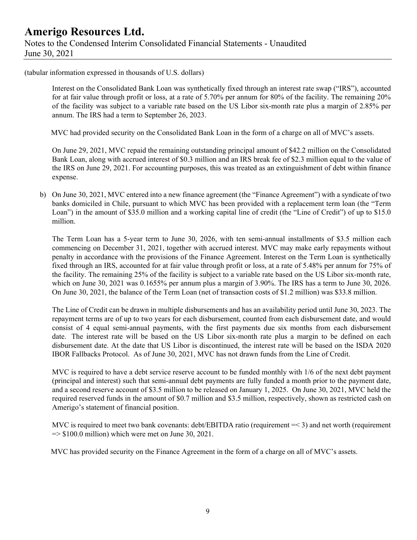### **Amerigo Resources Ltd.**  Notes to the Condensed Interim Consolidated Financial Statements - Unaudited June 30, 2021

(tabular information expressed in thousands of U.S. dollars)

Interest on the Consolidated Bank Loan was synthetically fixed through an interest rate swap ("IRS"), accounted for at fair value through profit or loss, at a rate of 5.70% per annum for 80% of the facility. The remaining 20% of the facility was subject to a variable rate based on the US Libor six-month rate plus a margin of 2.85% per annum. The IRS had a term to September 26, 2023.

MVC had provided security on the Consolidated Bank Loan in the form of a charge on all of MVC's assets.

On June 29, 2021, MVC repaid the remaining outstanding principal amount of \$42.2 million on the Consolidated Bank Loan, along with accrued interest of \$0.3 million and an IRS break fee of \$2.3 million equal to the value of the IRS on June 29, 2021. For accounting purposes, this was treated as an extinguishment of debt within finance expense.

b) On June 30, 2021, MVC entered into a new finance agreement (the "Finance Agreement") with a syndicate of two banks domiciled in Chile, pursuant to which MVC has been provided with a replacement term loan (the "Term Loan") in the amount of \$35.0 million and a working capital line of credit (the "Line of Credit") of up to \$15.0 million.

The Term Loan has a 5-year term to June 30, 2026, with ten semi-annual installments of \$3.5 million each commencing on December 31, 2021, together with accrued interest. MVC may make early repayments without penalty in accordance with the provisions of the Finance Agreement. Interest on the Term Loan is synthetically fixed through an IRS, accounted for at fair value through profit or loss, at a rate of 5.48% per annum for 75% of the facility. The remaining 25% of the facility is subject to a variable rate based on the US Libor six-month rate, which on June 30, 2021 was 0.1655% per annum plus a margin of 3.90%. The IRS has a term to June 30, 2026. On June 30, 2021, the balance of the Term Loan (net of transaction costs of \$1.2 million) was \$33.8 million.

The Line of Credit can be drawn in multiple disbursements and has an availability period until June 30, 2023. The repayment terms are of up to two years for each disbursement, counted from each disbursement date, and would consist of 4 equal semi-annual payments, with the first payments due six months from each disbursement date. The interest rate will be based on the US Libor six-month rate plus a margin to be defined on each disbursement date. At the date that US Libor is discontinued, the interest rate will be based on the ISDA 2020 IBOR Fallbacks Protocol. As of June 30, 2021, MVC has not drawn funds from the Line of Credit.

MVC is required to have a debt service reserve account to be funded monthly with  $1/6$  of the next debt payment (principal and interest) such that semi-annual debt payments are fully funded a month prior to the payment date, and a second reserve account of \$3.5 million to be released on January 1, 2025. On June 30, 2021, MVC held the required reserved funds in the amount of \$0.7 million and \$3.5 million, respectively, shown as restricted cash on Amerigo's statement of financial position.

MVC is required to meet two bank covenants: debt/EBITDA ratio (requirement = < 3) and net worth (requirement  $\Rightarrow$  \$100.0 million) which were met on June 30, 2021.

MVC has provided security on the Finance Agreement in the form of a charge on all of MVC's assets.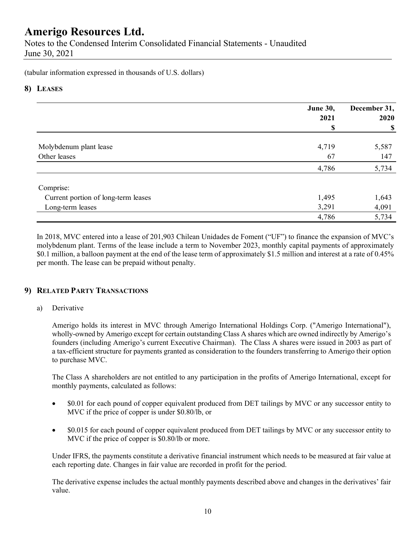Notes to the Condensed Interim Consolidated Financial Statements - Unaudited June 30, 2021

(tabular information expressed in thousands of U.S. dollars)

### **8) LEASES**

|                                     | <b>June 30,</b><br>2021 | December 31,<br>2020      |
|-------------------------------------|-------------------------|---------------------------|
|                                     | \$                      | $\boldsymbol{\mathsf{S}}$ |
| Molybdenum plant lease              | 4,719                   | 5,587                     |
| Other leases                        | 67                      | 147                       |
|                                     | 4,786                   | 5,734                     |
| Comprise:                           |                         |                           |
| Current portion of long-term leases | 1,495                   | 1,643                     |
| Long-term leases                    | 3,291                   | 4,091                     |
|                                     | 4,786                   | 5,734                     |

In 2018, MVC entered into a lease of 201,903 Chilean Unidades de Foment ("UF") to finance the expansion of MVC's molybdenum plant. Terms of the lease include a term to November 2023, monthly capital payments of approximately \$0.1 million, a balloon payment at the end of the lease term of approximately \$1.5 million and interest at a rate of 0.45% per month. The lease can be prepaid without penalty.

### **9) RELATED PARTY TRANSACTIONS**

#### a) Derivative

Amerigo holds its interest in MVC through Amerigo International Holdings Corp. ("Amerigo International"), wholly-owned by Amerigo except for certain outstanding Class A shares which are owned indirectly by Amerigo's founders (including Amerigo's current Executive Chairman). The Class A shares were issued in 2003 as part of a tax-efficient structure for payments granted as consideration to the founders transferring to Amerigo their option to purchase MVC.

The Class A shareholders are not entitled to any participation in the profits of Amerigo International, except for monthly payments, calculated as follows:

- \$0.01 for each pound of copper equivalent produced from DET tailings by MVC or any successor entity to MVC if the price of copper is under \$0.80/lb, or
- \$0.015 for each pound of copper equivalent produced from DET tailings by MVC or any successor entity to MVC if the price of copper is \$0.80/lb or more.

Under IFRS, the payments constitute a derivative financial instrument which needs to be measured at fair value at each reporting date. Changes in fair value are recorded in profit for the period.

The derivative expense includes the actual monthly payments described above and changes in the derivatives' fair value.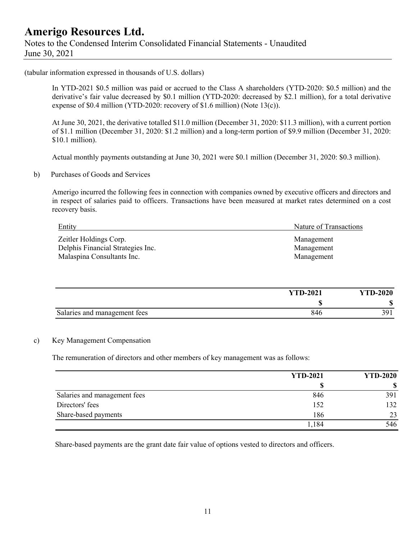### **Amerigo Resources Ltd.**  Notes to the Condensed Interim Consolidated Financial Statements - Unaudited June 30, 2021

(tabular information expressed in thousands of U.S. dollars)

In YTD-2021 \$0.5 million was paid or accrued to the Class A shareholders (YTD-2020: \$0.5 million) and the derivative's fair value decreased by \$0.1 million (YTD-2020: decreased by \$2.1 million), for a total derivative expense of \$0.4 million (YTD-2020: recovery of \$1.6 million) (Note 13(c)).

At June 30, 2021, the derivative totalled \$11.0 million (December 31, 2020: \$11.3 million), with a current portion of \$1.1 million (December 31, 2020: \$1.2 million) and a long-term portion of \$9.9 million (December 31, 2020: \$10.1 million).

Actual monthly payments outstanding at June 30, 2021 were \$0.1 million (December 31, 2020: \$0.3 million).

b) Purchases of Goods and Services

Amerigo incurred the following fees in connection with companies owned by executive officers and directors and in respect of salaries paid to officers. Transactions have been measured at market rates determined on a cost recovery basis.

| Entity                            | Nature of Transactions |
|-----------------------------------|------------------------|
| Zeitler Holdings Corp.            | Management             |
| Delphis Financial Strategies Inc. | Management             |
| Malaspina Consultants Inc.        | Management             |

|                              | <b>YTD-2021</b> | <b>YTD-2020</b> |
|------------------------------|-----------------|-----------------|
|                              |                 |                 |
| Salaries and management fees | 846             | 301             |

#### c) Key Management Compensation

The remuneration of directors and other members of key management was as follows:

|                              | <b>YTD-2021</b> | <b>YTD-2020</b> |  |
|------------------------------|-----------------|-----------------|--|
|                              |                 |                 |  |
| Salaries and management fees | 846             | 391             |  |
| Directors' fees              | 152             | 132             |  |
| Share-based payments         | 186             | 23              |  |
|                              | 1,184           | 546             |  |

Share-based payments are the grant date fair value of options vested to directors and officers.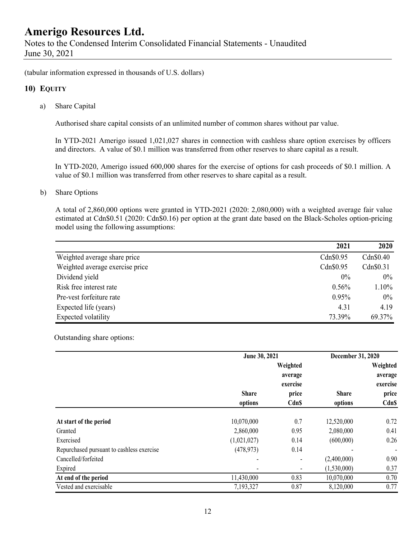Notes to the Condensed Interim Consolidated Financial Statements - Unaudited June 30, 2021

(tabular information expressed in thousands of U.S. dollars)

#### **10) EQUITY**

a) Share Capital

Authorised share capital consists of an unlimited number of common shares without par value.

In YTD-2021 Amerigo issued 1,021,027 shares in connection with cashless share option exercises by officers and directors. A value of \$0.1 million was transferred from other reserves to share capital as a result.

In YTD-2020, Amerigo issued 600,000 shares for the exercise of options for cash proceeds of \$0.1 million. A value of \$0.1 million was transferred from other reserves to share capital as a result.

b) Share Options

A total of 2,860,000 options were granted in YTD-2021 (2020: 2,080,000) with a weighted average fair value estimated at Cdn\$0.51 (2020: Cdn\$0.16) per option at the grant date based on the Black-Scholes option-pricing model using the following assumptions:

|                                 | 2021      | 2020      |
|---------------------------------|-----------|-----------|
| Weighted average share price    | Cdn\$0.95 | Cdn\$0.40 |
| Weighted average exercise price | Cdn\$0.95 | Cdn\$0.31 |
| Dividend yield                  | $0\%$     | $0\%$     |
| Risk free interest rate         | 0.56%     | $1.10\%$  |
| Pre-vest forfeiture rate        | 0.95%     | $0\%$     |
| Expected life (years)           | 4.31      | 4.19      |
| Expected volatility             | 73.39%    | 69.37%    |

Outstanding share options:

|                                           |                         | June 30, 2021                    |                         | December 31, 2020                 |
|-------------------------------------------|-------------------------|----------------------------------|-------------------------|-----------------------------------|
|                                           |                         | Weighted<br>average              |                         | Weighted<br>average               |
|                                           | <b>Share</b><br>options | exercise<br>price<br><b>CdnS</b> | <b>Share</b><br>options | exercise<br>price<br><b>Cdn\$</b> |
|                                           |                         |                                  |                         |                                   |
| At start of the period                    | 10,070,000              | 0.7                              | 12,520,000              | 0.72                              |
| Granted                                   | 2,860,000               | 0.95                             | 2,080,000               | 0.41                              |
| Exercised                                 | (1,021,027)             | 0.14                             | (600,000)               | 0.26                              |
| Repurchased pursuant to cashless exercise | (478, 973)              | 0.14                             |                         | $\overline{\phantom{a}}$          |
| Cancelled/forfeited                       |                         |                                  | (2,400,000)             | 0.90                              |
| Expired                                   |                         |                                  | (1,530,000)             | 0.37                              |
| At end of the period                      | 11,430,000              | 0.83                             | 10,070,000              | 0.70                              |
| Vested and exercisable                    | 7,193,327               | 0.87                             | 8,120,000               | 0.77                              |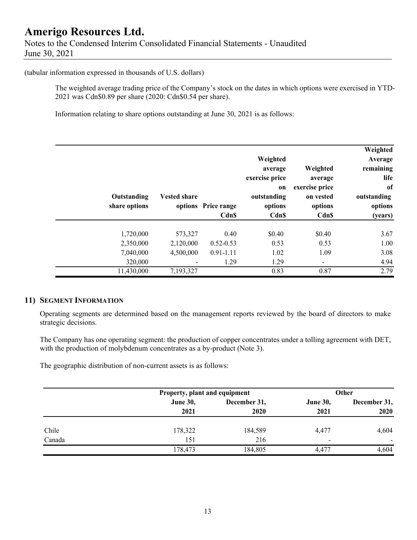### **Amerigo Resources Ltd.**  Notes to the Condensed Interim Consolidated Financial Statements - Unaudited June 30, 2021

#### (tabular information expressed in thousands of U.S. dollars)

The weighted average trading price of the Company's stock on the dates in which options were exercised in YTD-2021 was Cdn\$0.89 per share (2020: Cdn\$0.54 per share).

Information relating to share options outstanding at June 30, 2021 is as follows:

| Weighted<br>Average<br>remaining<br>life<br>of<br>outstanding<br>options<br>(years) | Weighted<br>average<br>exercise price<br>on vested<br>options<br>Cdn\$ | Weighted<br>average<br>exercise price<br><sub>on</sub><br>outstanding<br>options<br><b>CdnS</b> | options Price range<br>Cdn\$ | <b>Vested share</b> | Outstanding<br>share options |  |
|-------------------------------------------------------------------------------------|------------------------------------------------------------------------|-------------------------------------------------------------------------------------------------|------------------------------|---------------------|------------------------------|--|
|                                                                                     |                                                                        |                                                                                                 |                              |                     |                              |  |
| 3.67                                                                                | \$0.40                                                                 | \$0.40                                                                                          | 0.40                         | 573,327             | 1,720,000                    |  |
| 1.00                                                                                | 0.53                                                                   | 0.53                                                                                            | $0.52 - 0.53$                | 2,120,000           | 2,350,000                    |  |
| 3.08                                                                                | 1.09                                                                   | 1.02                                                                                            | $0.91 - 1.11$                | 4,500,000           | 7,040,000                    |  |
| 4.94                                                                                | -                                                                      | 1.29                                                                                            | 1.29                         |                     | 320,000                      |  |
| 2.79                                                                                | 0.87                                                                   | 0.83                                                                                            |                              | 7,193,327           | 11,430,000                   |  |

### **11) SEGMENT INFORMATION**

Operating segments are determined based on the management reports reviewed by the board of directors to make strategic decisions.

The Company has one operating segment: the production of copper concentrates under a tolling agreement with DET, with the production of molybdenum concentrates as a by-product (Note 3).

The geographic distribution of non-current assets is as follows:

|        |                 | Property, plant and equipment |                          | Other                    |
|--------|-----------------|-------------------------------|--------------------------|--------------------------|
|        | <b>June 30,</b> | December 31,                  | <b>June 30,</b>          | December 31,             |
|        | 2021            | 2020                          | 2021                     | 2020                     |
| Chile  | 178,322         | 184,589                       | 4,477                    | 4,604                    |
| Canada | 151             | 216                           | $\overline{\phantom{0}}$ | $\overline{\phantom{a}}$ |
|        | 178,473         | 184,805                       | 4,477                    | 4,604                    |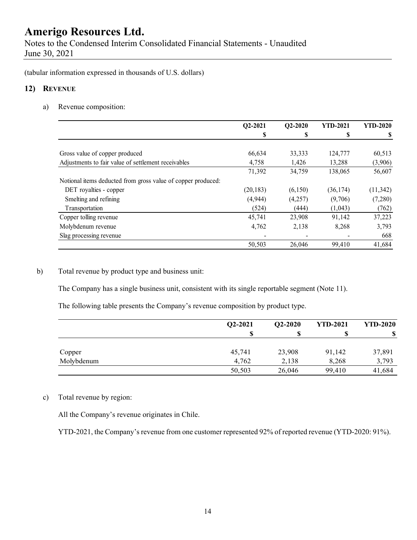Notes to the Condensed Interim Consolidated Financial Statements - Unaudited June 30, 2021

(tabular information expressed in thousands of U.S. dollars)

#### **12) REVENUE**

a) Revenue composition:

|                                                              | Q2-2021   | $Q2-2020$ | <b>YTD-2021</b> | <b>YTD-2020</b> |
|--------------------------------------------------------------|-----------|-----------|-----------------|-----------------|
|                                                              | S         | S         | S               |                 |
|                                                              |           |           |                 |                 |
| Gross value of copper produced                               | 66,634    | 33,333    | 124,777         | 60,513          |
| Adjustments to fair value of settlement receivables          | 4,758     | 1,426     | 13,288          | (3,906)         |
|                                                              | 71,392    | 34,759    | 138,065         | 56,607          |
| Notional items deducted from gross value of copper produced: |           |           |                 |                 |
| DET royalties - copper                                       | (20, 183) | (6,150)   | (36, 174)       | (11, 342)       |
| Smelting and refining                                        | (4, 944)  | (4,257)   | (9,706)         | (7,280)         |
| Transportation                                               | (524)     | (444)     | (1,043)         | (762)           |
| Copper tolling revenue                                       | 45,741    | 23,908    | 91,142          | 37,223          |
| Molybdenum revenue                                           | 4,762     | 2,138     | 8,268           | 3,793           |
| Slag processing revenue                                      |           |           |                 | 668             |
|                                                              | 50,503    | 26,046    | 99,410          | 41,684          |

### b) Total revenue by product type and business unit:

The Company has a single business unit, consistent with its single reportable segment (Note 11).

The following table presents the Company's revenue composition by product type.

|            | Q2-2021 | $Q2-2020$ | <b>YTD-2021</b> | <b>YTD-2020</b> |
|------------|---------|-----------|-----------------|-----------------|
|            | S       |           |                 | \$              |
|            |         |           |                 |                 |
| Copper     | 45,741  | 23,908    | 91,142          | 37,891          |
| Molybdenum | 4.762   | 2,138     | 8,268           | 3,793           |
|            | 50,503  | 26,046    | 99,410          | 41,684          |

#### c) Total revenue by region:

All the Company's revenue originates in Chile.

YTD-2021, the Company's revenue from one customer represented 92% of reported revenue (YTD-2020: 91%).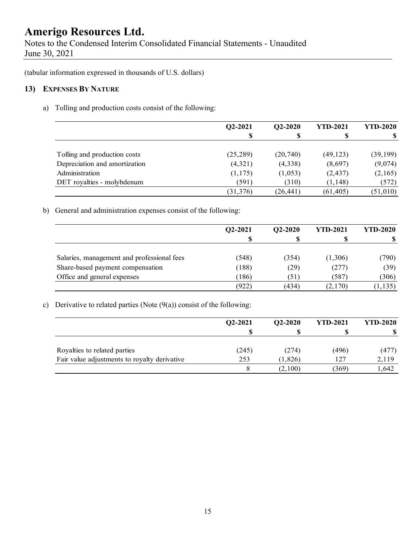Notes to the Condensed Interim Consolidated Financial Statements - Unaudited June 30, 2021

(tabular information expressed in thousands of U.S. dollars)

### **13) EXPENSES BY NATURE**

a) Tolling and production costs consist of the following:

|                               | $Q2 - 2021$ | $Q2-2020$ | <b>YTD-2021</b> | <b>YTD-2020</b> |
|-------------------------------|-------------|-----------|-----------------|-----------------|
|                               |             |           | S               |                 |
|                               |             |           |                 |                 |
| Tolling and production costs  | (25, 289)   | (20,740)  | (49, 123)       | (39, 199)       |
| Depreciation and amortization | (4,321)     | (4,338)   | (8,697)         | (9,074)         |
| Administration                | (1,175)     | (1,053)   | (2, 437)        | (2,165)         |
| DET royalties - molybdenum    | (591)       | (310)     | (1, 148)        | (572)           |
|                               | (31, 376)   | (26, 441) | (61, 405)       | (51,010)        |

b) General and administration expenses consist of the following:

|                                            | Q2-2021 | $O2 - 2020$ | <b>YTD-2021</b> | <b>YTD-2020</b> |
|--------------------------------------------|---------|-------------|-----------------|-----------------|
|                                            | D       |             | D               |                 |
| Salaries, management and professional fees | (548)   | (354)       | (1,306)         | (790)           |
| Share-based payment compensation           | (188)   | (29)        | (277)           | (39)            |
| Office and general expenses                | (186)   | (51)        | (587)           | (306)           |
|                                            | (922)   | (434)       | (2,170)         | (1, 135)        |

### c) Derivative to related parties (Note  $(9(a))$  consist of the following:

|                                              | Q2-2021 | $O2 - 2020$ | <b>YTD-2021</b> | <b>YTD-2020</b> |
|----------------------------------------------|---------|-------------|-----------------|-----------------|
|                                              |         |             |                 |                 |
| Royalties to related parties                 | (245)   | (274)       | (496)           | (477)           |
| Fair value adjustments to royalty derivative | 253     | (1,826)     | 127             | 2,119           |
|                                              |         | (2,100)     | (369)           | 1,642           |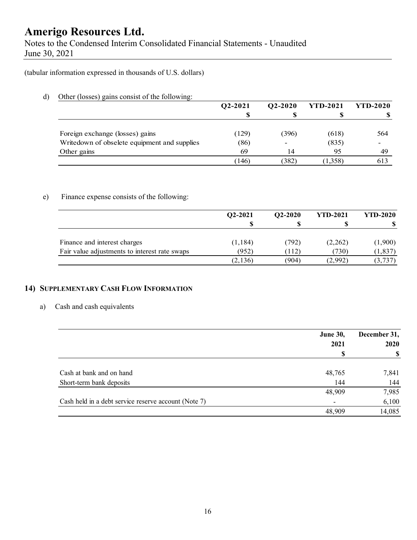Notes to the Condensed Interim Consolidated Financial Statements - Unaudited June 30, 2021

(tabular information expressed in thousands of U.S. dollars)

d) Other (losses) gains consist of the following:

|                                              | Q2-2021 | $Q2 - 2020$ | <b>YTD-2021</b> | <b>YTD-2020</b> |
|----------------------------------------------|---------|-------------|-----------------|-----------------|
|                                              |         |             |                 |                 |
|                                              |         |             |                 |                 |
| Foreign exchange (losses) gains              | (129)   | (396)       | (618)           | 564             |
| Writedown of obselete equipment and supplies | (86)    |             | (835)           |                 |
| Other gains                                  | 69      | 14          | 95              | 49              |
|                                              | (146)   | (382)       | (1,358)         | 613             |

### e) Finance expense consists of the following:

|                                               | $Q2-2021$ | $O2 - 2020$ | <b>YTD-2021</b> | <b>YTD-2020</b> |
|-----------------------------------------------|-----------|-------------|-----------------|-----------------|
|                                               | S         |             |                 |                 |
| Finance and interest charges                  | (1, 184)  | (792)       | (2,262)         | (1,900)         |
| Fair value adjustments to interest rate swaps | (952)     | (112)       | (730)           | (1, 837)        |
|                                               | (2,136)   | (904)       | (2,992)         | (3,737)         |

### **14) SUPPLEMENTARY CASH FLOW INFORMATION**

#### a) Cash and cash equivalents

|                                                      | <b>June 30,</b> | December 31, |
|------------------------------------------------------|-----------------|--------------|
|                                                      | 2021            | <b>2020</b>  |
|                                                      |                 |              |
|                                                      |                 |              |
| Cash at bank and on hand                             | 48,765          | 7,841        |
| Short-term bank deposits                             | 144             | 144          |
|                                                      | 48,909          | 7,985        |
| Cash held in a debt service reserve account (Note 7) |                 | 6,100        |
|                                                      | 48,909          | 14,085       |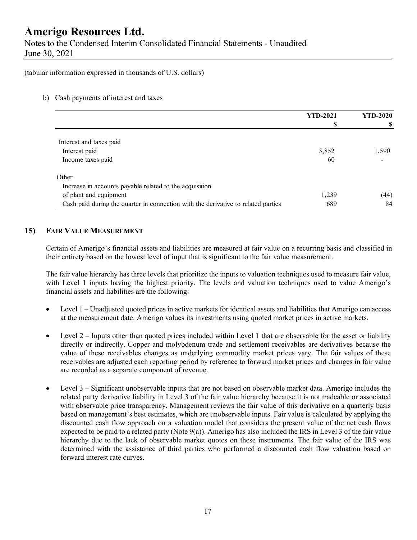Notes to the Condensed Interim Consolidated Financial Statements - Unaudited June 30, 2021

(tabular information expressed in thousands of U.S. dollars)

#### b) Cash payments of interest and taxes

|                                                                                   | <b>YTD-2021</b> | <b>YTD-2020</b> |  |
|-----------------------------------------------------------------------------------|-----------------|-----------------|--|
|                                                                                   | \$              |                 |  |
|                                                                                   |                 |                 |  |
| Interest and taxes paid                                                           |                 |                 |  |
| Interest paid                                                                     | 3,852           | 1,590           |  |
| Income taxes paid                                                                 | 60              |                 |  |
| Other                                                                             |                 |                 |  |
| Increase in accounts payable related to the acquisition                           |                 |                 |  |
| of plant and equipment                                                            | 1,239           | (44)            |  |
| Cash paid during the quarter in connection with the derivative to related parties | 689             | 84              |  |

### **15) FAIR VALUE MEASUREMENT**

Certain of Amerigo's financial assets and liabilities are measured at fair value on a recurring basis and classified in their entirety based on the lowest level of input that is significant to the fair value measurement.

The fair value hierarchy has three levels that prioritize the inputs to valuation techniques used to measure fair value, with Level 1 inputs having the highest priority. The levels and valuation techniques used to value Amerigo's financial assets and liabilities are the following:

- Level 1 Unadjusted quoted prices in active markets for identical assets and liabilities that Amerigo can access at the measurement date. Amerigo values its investments using quoted market prices in active markets.
- $\bullet$  Level 2 Inputs other than quoted prices included within Level 1 that are observable for the asset or liability directly or indirectly. Copper and molybdenum trade and settlement receivables are derivatives because the value of these receivables changes as underlying commodity market prices vary. The fair values of these receivables are adjusted each reporting period by reference to forward market prices and changes in fair value are recorded as a separate component of revenue.
- Level 3 Significant unobservable inputs that are not based on observable market data. Amerigo includes the related party derivative liability in Level 3 of the fair value hierarchy because it is not tradeable or associated with observable price transparency. Management reviews the fair value of this derivative on a quarterly basis based on management's best estimates, which are unobservable inputs. Fair value is calculated by applying the discounted cash flow approach on a valuation model that considers the present value of the net cash flows expected to be paid to a related party (Note 9(a)). Amerigo has also included the IRS in Level 3 of the fair value hierarchy due to the lack of observable market quotes on these instruments. The fair value of the IRS was determined with the assistance of third parties who performed a discounted cash flow valuation based on forward interest rate curves.